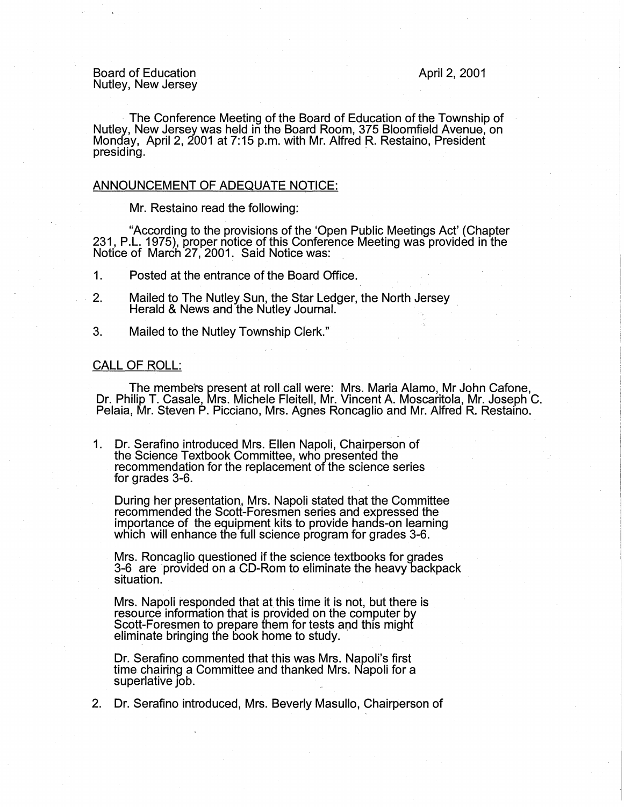Board of Education Nutley, New Jersey April 2, 2001

The Conference Meeting of the Board of Education of the Township of Nutley, New Jersey was held in the Board Room, 375 Bloomfield Avenue, on Monday, April 2, 2001 at 7:15 p.m. with Mr. Alfred R. Restaino, President presiding.

### ANNOUNCEMENT OF ADEQUATE NOTICE:

Mr. Restaino read the following:

"According to the provisions of the 'Open Public Meetings Act' (Chapter 231, P.L. 1975), proper notice of this Conference Meeting was provided in the Notice of March 27, 2001. Said Notice was:

1. Posted at the entrance of the Board Office.

- 2. Mailed to The Nutley Sun, the Star Ledger, the North Jersey Herald & News and the Nutley Journal.
- 3. Mailed to the Nutley Township Clerk."

# CALL OF ROLL:

· The members present at roll call were: Mrs. Maria Alamo, Mr John Cafone, Dr. Philip T. Casale, Mrs. Michele Fleitell, Mr. Vincent A. Moscaritola, Mr. Joseph C. Pelaia, Mr. Steven P. Picciano, Mrs. Agnes Roncaglio and Mr. Alfred R. Restaino.

1. Dr. Serafino introduced Mrs. Ellen Napoli, Chairperson of the Science Textbook Committee, who presented the recommendation for the replacement of the science series for grades 3-6.

During her presentation, Mrs. Napoli stated that the Committee recommended the Scott-Foresman series and expressed the importance of the equipment kits to provide hands-on learning which will enhance the full science program for grades 3-6.

Mrs. Roncaglio questioned if the science textbooks for grades 3-6 are provided on a CD-Rom to eliminate the heavy backpack situation.

Mrs. Napoli responded that at this time it is not, but there is resource information that is provided on the computer by Scott-Foresmen to prepare them for tests and this might<br>eliminate bringing the book home to study.

Dr. Serafino commented that this was Mrs. Napoli's first time chairing a Committee and thanked Mrs. Napoli for a superlative  $\overline{1}$ ob.

2. Dr. Serafino introduced, Mrs. Beverly Masullo, Chairperson of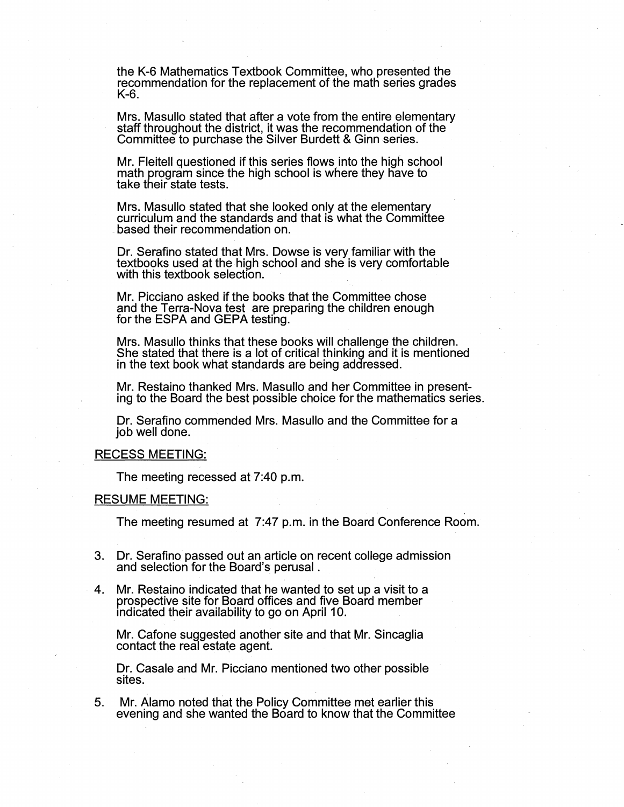the K-6 Mathematics Textbook Committee, who presented the recommendation for the replacement of the math series grades K-6.

Mrs. Masullo stated that after a vote from the entire elementary staff throughout the district, it was the recommendation of the Committee to purchase the Silver Burdett & Ginn series.

Mr. Fleitell questioned if this series flows into the high school math program since the high school is where they have to take their state tests.

Mrs. Masullo stated that she looked only at the elementary curriculum and the standards and that is what the Committee based their recommendation on.

Dr. Serafino stated that Mrs. Dowse is very familiar with the textbooks used at the high school and she is very comfortable with this textbook selection.

Mr. Picciano asked if the books that the Committee chose and the Terra-Nova test are preparing the children enough for the ESPA and GEPA testing.

Mrs. Masullo thinks that these books will challenge the children. She stated that there is a lot of critical thinking and it is mentioned in the text book what standards are being addressed.

Mr. Restaino thanked Mrs. Masullo and her Committee in presenting to the Board the best possible choice for the mathematics series.

Dr. Serafino commended Mrs. Masullo and the Committee for a job well done.

### RECESS MEETING:

The meeting recessed at 7:40 p.m.

#### RESUME MEETING:

The meeting resumed at 7:47 p.m. in the Board Conference Room.

- 3. Dr. Serafino passed out an article on recent college admission and selection for the Board's perusal .
- 4. Mr. Restaino indicated that he wanted to set up a visit to a prospective site for Board offices and five Board member indicated their availability to go on April 10.

Mr. Cafone suggested another site and that Mr. Sincaglia contact the real estate agent.

Dr. Casale and Mr. Picciano mentioned two other possible sites.

5. Mr. Alamo noted that the Policy Committee met earlier this evening and she wanted the Board to know that the Committee